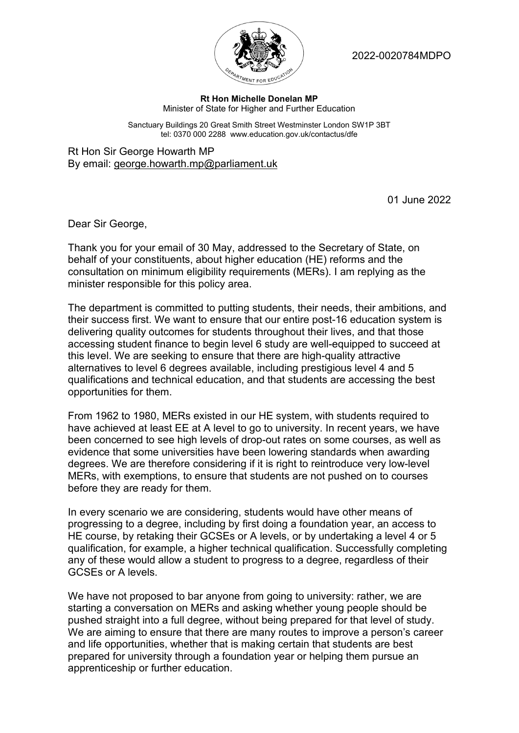

2022-0020784MDPO

## **Rt Hon Michelle Donelan MP** Minister of State for Higher and Further Education

Sanctuary Buildings 20 Great Smith Street Westminster London SW1P 3BT tel: 0370 000 2288 www.education.gov.uk/contactus/dfe

Rt Hon Sir George Howarth MP By email: george.howarth.mp@parliament.uk

01 June 2022

Dear Sir George,

Thank you for your email of 30 May, addressed to the Secretary of State, on behalf of your constituents, about higher education (HE) reforms and the consultation on minimum eligibility requirements (MERs). I am replying as the minister responsible for this policy area.

The department is committed to putting students, their needs, their ambitions, and their success first. We want to ensure that our entire post-16 education system is delivering quality outcomes for students throughout their lives, and that those accessing student finance to begin level 6 study are well-equipped to succeed at this level. We are seeking to ensure that there are high-quality attractive alternatives to level 6 degrees available, including prestigious level 4 and 5 qualifications and technical education, and that students are accessing the best opportunities for them.

From 1962 to 1980, MERs existed in our HE system, with students required to have achieved at least EE at A level to go to university. In recent years, we have been concerned to see high levels of drop-out rates on some courses, as well as evidence that some universities have been lowering standards when awarding degrees. We are therefore considering if it is right to reintroduce very low-level MERs, with exemptions, to ensure that students are not pushed on to courses before they are ready for them.

In every scenario we are considering, students would have other means of progressing to a degree, including by first doing a foundation year, an access to HE course, by retaking their GCSEs or A levels, or by undertaking a level 4 or 5 qualification, for example, a higher technical qualification. Successfully completing any of these would allow a student to progress to a degree, regardless of their GCSEs or A levels.

We have not proposed to bar anyone from going to university: rather, we are starting a conversation on MERs and asking whether young people should be pushed straight into a full degree, without being prepared for that level of study. We are aiming to ensure that there are many routes to improve a person's career and life opportunities, whether that is making certain that students are best prepared for university through a foundation year or helping them pursue an apprenticeship or further education.